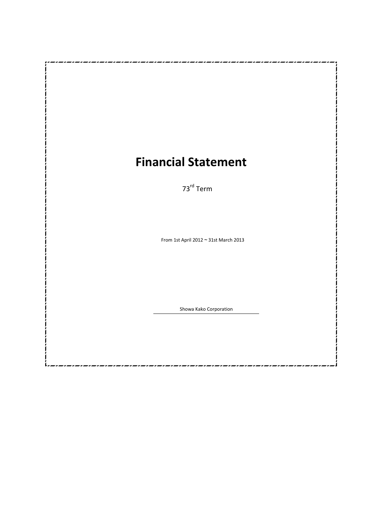# **Financial Statement**

73rd Term

From 1st April 2012  $\sim$  31st March 2013

Showa Kako Corporation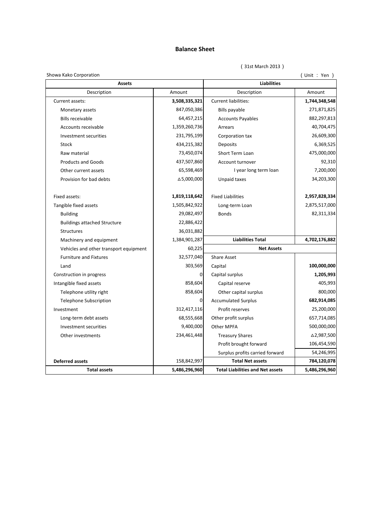## **Balance Sheet**

(31st March 2013)

(Unit : Yen )

| Showa Kako Corporation                 |                    |                                         | (Unit : Yen ) |  |
|----------------------------------------|--------------------|-----------------------------------------|---------------|--|
| <b>Assets</b>                          | <b>Liabilities</b> |                                         |               |  |
| Description                            | Amount             | Description                             | Amount        |  |
| Current assets:                        | 3,508,335,321      | <b>Current liabilities:</b>             | 1,744,348,548 |  |
| Monetary assets                        | 847,050,386        | Bills payable                           | 271,871,825   |  |
| <b>Bills receivable</b>                | 64,457,215         | <b>Accounts Payables</b>                | 882,297,813   |  |
| Accounts receivable                    | 1,359,260,736      | Arrears                                 | 40,704,475    |  |
| Investment securities                  | 231,795,199        | Corporation tax                         | 26,609,300    |  |
| Stock                                  | 434,215,382        | <b>Deposits</b>                         | 6,369,525     |  |
| Raw material                           | 73,450,074         | Short Term Loan                         | 475,000,000   |  |
| <b>Products and Goods</b>              | 437,507,860        | Account turnover                        | 92,310        |  |
| Other current assets                   | 65,598,469         | I year long term loan                   | 7,200,000     |  |
| Provision for bad debts                | △5,000,000         | Unpaid taxes                            | 34,203,300    |  |
| Fixed assets:                          | 1,819,118,642      | <b>Fixed Liabilities</b>                | 2,957,828,334 |  |
| Tangible fixed assets                  | 1,505,842,922      | Long-term Loan                          | 2,875,517,000 |  |
| <b>Building</b>                        | 29,082,497         | <b>Bonds</b>                            | 82,311,334    |  |
| <b>Buildings attached Structure</b>    | 22,886,422         |                                         |               |  |
| <b>Structures</b>                      | 36,031,882         |                                         |               |  |
| Machinery and equipment                | 1,384,901,287      | <b>Liabilities Total</b>                | 4,702,176,882 |  |
| Vehicles and other transport equipment | 60,225             | <b>Net Assets</b>                       |               |  |
| <b>Furniture and Fixtures</b>          | 32,577,040         | <b>Share Asset</b>                      |               |  |
| Land                                   | 303,569            | Capital                                 | 100,000,000   |  |
| Construction in progress               | 0                  | Capital surplus                         | 1,205,993     |  |
| Intangible fixed assets                | 858,604            | Capital reserve                         | 405,993       |  |
| Telephone utility right                | 858,604            | Other capital surplus                   | 800,000       |  |
| <b>Telephone Subscription</b>          | 0                  | <b>Accumulated Surplus</b>              | 682,914,085   |  |
| Investment                             | 312,417,116        | Profit reserves                         | 25,200,000    |  |
| Long-term debt assets                  | 68,555,668         | Other profit surplus                    | 657,714,085   |  |
| Investment securities                  | 9,400,000          | Other MPFA                              | 500,000,000   |  |
| Other investments                      | 234,461,448        | <b>Treasury Shares</b>                  | △2,987,500    |  |
|                                        |                    | Profit brought forward                  | 106,454,590   |  |
|                                        |                    | Surplus profits carried forward         | 54,246,995    |  |
| <b>Deferred assets</b>                 | 158,842,997        | <b>Total Net assets</b>                 | 784,120,078   |  |
| <b>Total assets</b>                    | 5,486,296,960      | <b>Total Liabilities and Net assets</b> | 5,486,296,960 |  |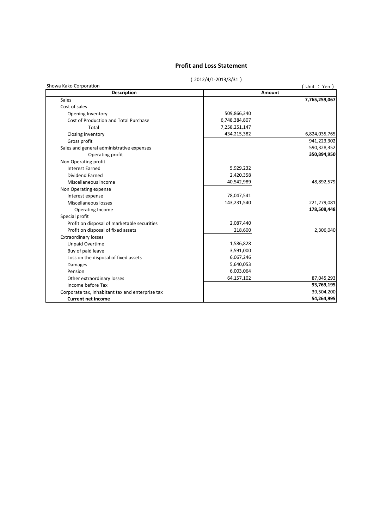### **Profit and Loss Statement**

#### (2012/4/1-2013/3/31)

| Showa Kako Corporation<br><b>Description</b>     | Amount        | Unit: Yen     |
|--------------------------------------------------|---------------|---------------|
|                                                  |               |               |
| <b>Sales</b>                                     |               | 7,765,259,067 |
| Cost of sales                                    |               |               |
| Opening Inventory                                | 509,866,340   |               |
| Cost of Production and Total Purchase            | 6,748,384,807 |               |
| Total                                            | 7,258,251,147 |               |
| Closing inventory                                | 434,215,382   | 6,824,035,765 |
| Gross profit                                     |               | 941,223,302   |
| Sales and general administrative expenses        |               | 590,328,352   |
| Operating profit                                 |               | 350,894,950   |
| Non Operating profit                             |               |               |
| <b>Interest Earned</b>                           | 5,929,232     |               |
| <b>Dividend Earned</b>                           | 2,420,358     |               |
| Miscellaneous income                             | 40,542,989    | 48,892,579    |
| Non Operating expense                            |               |               |
| Interest expense                                 | 78,047,541    |               |
| Miscellaneous losses                             | 143,231,540   | 221,279,081   |
| Operating Income                                 |               | 178,508,448   |
| Special profit                                   |               |               |
| Profit on disposal of marketable securities      | 2,087,440     |               |
| Profit on disposal of fixed assets               | 218,600       | 2,306,040     |
| <b>Extraordinary losses</b>                      |               |               |
| <b>Unpaid Overtime</b>                           | 1,586,828     |               |
| Buy of paid leave                                | 3,591,000     |               |
| Loss on the disposal of fixed assets             | 6,067,246     |               |
| Damages                                          | 5,640,053     |               |
| Pension                                          | 6,003,064     |               |
| Other extraordinary losses                       | 64,157,102    | 87,045,293    |
| Income before Tax                                |               | 93,769,195    |
| Corporate tax, inhabitant tax and enterprise tax |               | 39,504,200    |
| <b>Current net income</b>                        |               | 54,264,995    |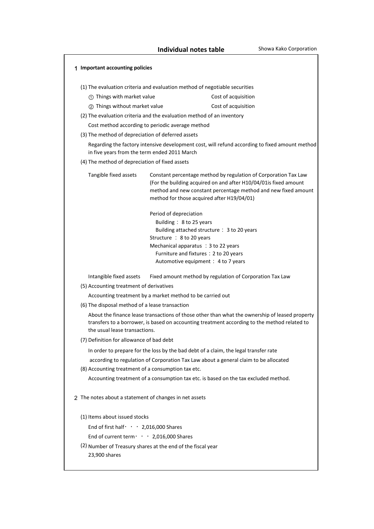| 1 Important accounting policies                                                                                                                                                                                                                                              |                                                                                      |                                                                                     |  |  |  |  |  |
|------------------------------------------------------------------------------------------------------------------------------------------------------------------------------------------------------------------------------------------------------------------------------|--------------------------------------------------------------------------------------|-------------------------------------------------------------------------------------|--|--|--|--|--|
| (1) The evaluation criteria and evaluation method of negotiable securities                                                                                                                                                                                                   |                                                                                      |                                                                                     |  |  |  |  |  |
| 1) Things with market value                                                                                                                                                                                                                                                  |                                                                                      | Cost of acquisition                                                                 |  |  |  |  |  |
| 2 Things without market value                                                                                                                                                                                                                                                |                                                                                      | Cost of acquisition                                                                 |  |  |  |  |  |
| (2) The evaluation criteria and the evaluation method of an inventory                                                                                                                                                                                                        |                                                                                      |                                                                                     |  |  |  |  |  |
| Cost method according to periodic average method                                                                                                                                                                                                                             |                                                                                      |                                                                                     |  |  |  |  |  |
| (3) The method of depreciation of deferred assets                                                                                                                                                                                                                            |                                                                                      |                                                                                     |  |  |  |  |  |
| Regarding the factory intensive development cost, will refund according to fixed amount method<br>in five years from the term ended 2011 March                                                                                                                               |                                                                                      |                                                                                     |  |  |  |  |  |
| (4) The method of depreciation of fixed assets                                                                                                                                                                                                                               |                                                                                      |                                                                                     |  |  |  |  |  |
| Tangible fixed assets<br>Constant percentage method by regulation of Corporation Tax Law<br>(For the building acquired on and after H10/04/01is fixed amount<br>method and new constant percentage method and new fixed amount<br>method for those acquired after H19/04/01) |                                                                                      |                                                                                     |  |  |  |  |  |
|                                                                                                                                                                                                                                                                              | Period of depreciation                                                               |                                                                                     |  |  |  |  |  |
|                                                                                                                                                                                                                                                                              | Building: 8 to 25 years                                                              |                                                                                     |  |  |  |  |  |
|                                                                                                                                                                                                                                                                              |                                                                                      | Building attached structure : 3 to 20 years                                         |  |  |  |  |  |
|                                                                                                                                                                                                                                                                              | Structure : 8 to 20 years                                                            |                                                                                     |  |  |  |  |  |
|                                                                                                                                                                                                                                                                              | Mechanical apparatus : 3 to 22 years<br>Furniture and fixtures : 2 to 20 years       |                                                                                     |  |  |  |  |  |
|                                                                                                                                                                                                                                                                              | Automotive equipment : 4 to 7 years                                                  |                                                                                     |  |  |  |  |  |
| Intangible fixed assets                                                                                                                                                                                                                                                      |                                                                                      | Fixed amount method by regulation of Corporation Tax Law                            |  |  |  |  |  |
| (5) Accounting treatment of derivatives                                                                                                                                                                                                                                      |                                                                                      |                                                                                     |  |  |  |  |  |
| Accounting treatment by a market method to be carried out                                                                                                                                                                                                                    |                                                                                      |                                                                                     |  |  |  |  |  |
| (6) The disposal method of a lease transaction                                                                                                                                                                                                                               |                                                                                      |                                                                                     |  |  |  |  |  |
| About the finance lease transactions of those other than what the ownership of leased property<br>transfers to a borrower, is based on accounting treatment according to the method related to<br>the usual lease transactions.                                              |                                                                                      |                                                                                     |  |  |  |  |  |
| (7) Definition for allowance of bad debt                                                                                                                                                                                                                                     |                                                                                      |                                                                                     |  |  |  |  |  |
|                                                                                                                                                                                                                                                                              | In order to prepare for the loss by the bad debt of a claim, the legal transfer rate |                                                                                     |  |  |  |  |  |
|                                                                                                                                                                                                                                                                              | according to regulation of Corporation Tax Law about a general claim to be allocated |                                                                                     |  |  |  |  |  |
| (8) Accounting treatment of a consumption tax etc.                                                                                                                                                                                                                           |                                                                                      |                                                                                     |  |  |  |  |  |
|                                                                                                                                                                                                                                                                              |                                                                                      | Accounting treatment of a consumption tax etc. is based on the tax excluded method. |  |  |  |  |  |
| 2 The notes about a statement of changes in net assets                                                                                                                                                                                                                       |                                                                                      |                                                                                     |  |  |  |  |  |
| (1) Items about issued stocks                                                                                                                                                                                                                                                |                                                                                      |                                                                                     |  |  |  |  |  |
| End of first half $\cdot \cdot \cdot 2,016,000$ Shares                                                                                                                                                                                                                       |                                                                                      |                                                                                     |  |  |  |  |  |
| End of current term $\cdot \cdot \cdot$ 2,016,000 Shares                                                                                                                                                                                                                     |                                                                                      |                                                                                     |  |  |  |  |  |
| (2) Number of Treasury shares at the end of the fiscal year<br>23,900 shares                                                                                                                                                                                                 |                                                                                      |                                                                                     |  |  |  |  |  |
|                                                                                                                                                                                                                                                                              |                                                                                      |                                                                                     |  |  |  |  |  |